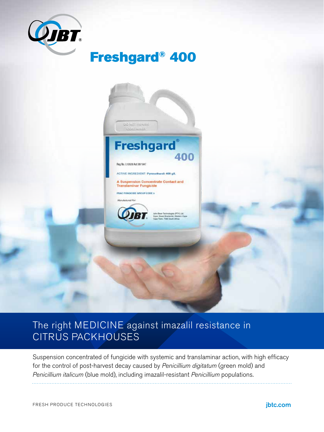

# Freshgard® 400



### The right MEDICINE against imazalil resistance in CITRUS PACKHOUSES

Suspension concentrated of fungicide with systemic and translaminar action, with high efficacy for the control of post-harvest decay caused by *Penicillium digitatum* (green mold) and *Penicillium italicum* (blue mold), including imazalil-resistant *Penicillium* populations.